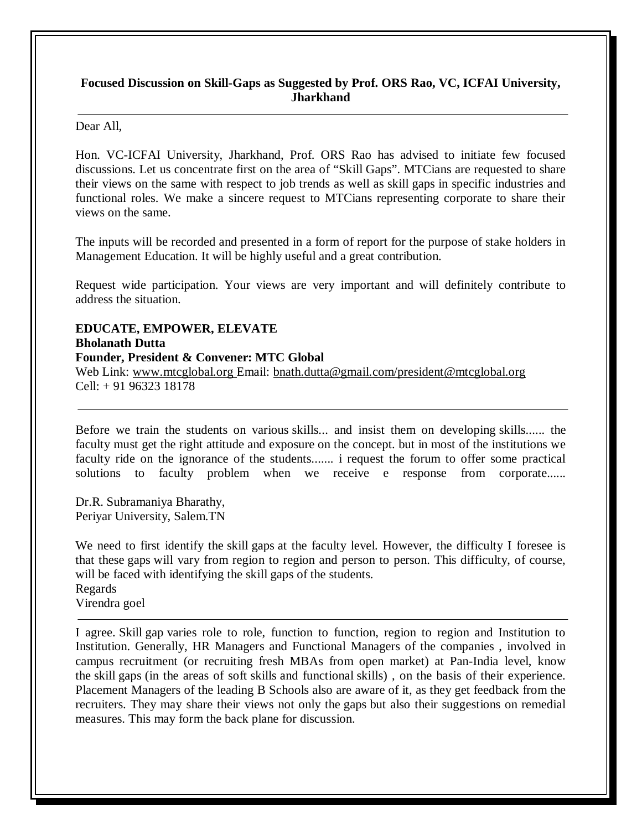#### **Focused Discussion on Skill-Gaps as Suggested by Prof. ORS Rao, VC, ICFAI University, Jharkhand**

#### Dear All,

Hon. VC-ICFAI University, Jharkhand, Prof. ORS Rao has advised to initiate few focused discussions. Let us concentrate first on the area of "Skill Gaps". MTCians are requested to share their views on the same with respect to job trends as well as skill gaps in specific industries and functional roles. We make a sincere request to MTCians representing corporate to share their views on the same.

The inputs will be recorded and presented in a form of report for the purpose of stake holders in Management Education. It will be highly useful and a great contribution.

Request wide participation. Your views are very important and will definitely contribute to address the situation.

**EDUCATE, EMPOWER, ELEVATE Bholanath Dutta Founder, President & Convener: MTC Global** Web Link: www.mtcglobal.org Email: bnath.dutta@gmail.com/president@mtcglobal.org Cell: + 91 96323 18178

Before we train the students on various skills... and insist them on developing skills...... the faculty must get the right attitude and exposure on the concept. but in most of the institutions we faculty ride on the ignorance of the students....... i request the forum to offer some practical solutions to faculty problem when we receive e response from corporate......

Dr.R. Subramaniya Bharathy, Periyar University, Salem.TN

We need to first identify the skill gaps at the faculty level. However, the difficulty I foresee is that these gaps will vary from region to region and person to person. This difficulty, of course, will be faced with identifying the skill gaps of the students. Regards Virendra goel

I agree. Skill gap varies role to role, function to function, region to region and Institution to Institution. Generally, HR Managers and Functional Managers of the companies , involved in campus recruitment (or recruiting fresh MBAs from open market) at Pan-India level, know the skill gaps (in the areas of soft skills and functional skills) , on the basis of their experience. Placement Managers of the leading B Schools also are aware of it, as they get feedback from the recruiters. They may share their views not only the gaps but also their suggestions on remedial measures. This may form the back plane for discussion.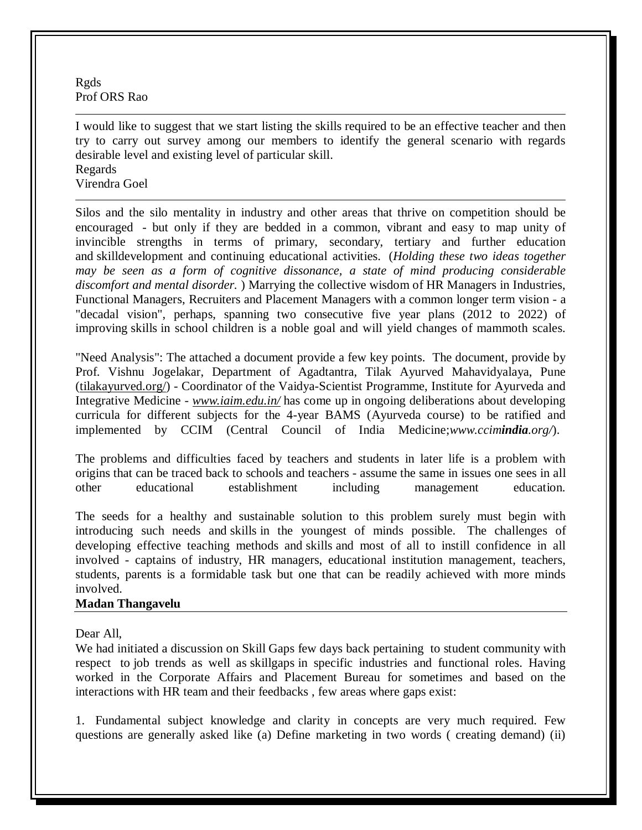Rgds Prof ORS Rao

I would like to suggest that we start listing the skills required to be an effective teacher and then try to carry out survey among our members to identify the general scenario with regards desirable level and existing level of particular skill. Regards Virendra Goel

Silos and the silo mentality in industry and other areas that thrive on competition should be encouraged - but only if they are bedded in a common, vibrant and easy to map unity of invincible strengths in terms of primary, secondary, tertiary and further education and skilldevelopment and continuing educational activities. (*Holding these two ideas together may be seen as a form of cognitive dissonance, a state of mind producing considerable discomfort and mental disorder.* ) Marrying the collective wisdom of HR Managers in Industries, Functional Managers, Recruiters and Placement Managers with a common longer term vision - a "decadal vision", perhaps, spanning two consecutive five year plans (2012 to 2022) of improving skills in school children is a noble goal and will yield changes of mammoth scales.

"Need Analysis": The attached a document provide a few key points. The document, provide by Prof. Vishnu Jogelakar, Department of Agadtantra, Tilak Ayurved Mahavidyalaya, Pune (tilakayurved.org/) - Coordinator of the Vaidya-Scientist Programme, Institute for Ayurveda and Integrative Medicine - *www.iaim.edu.in/* has come up in ongoing deliberations about developing curricula for different subjects for the 4-year BAMS (Ayurveda course) to be ratified and implemented by CCIM (Central Council of India Medicine;*www.ccimindia.org/*).

The problems and difficulties faced by teachers and students in later life is a problem with origins that can be traced back to schools and teachers - assume the same in issues one sees in all other educational establishment including management education.

The seeds for a healthy and sustainable solution to this problem surely must begin with introducing such needs and skills in the youngest of minds possible. The challenges of developing effective teaching methods and skills and most of all to instill confidence in all involved - captains of industry, HR managers, educational institution management, teachers, students, parents is a formidable task but one that can be readily achieved with more minds involved.

#### **Madan Thangavelu**

Dear All,

We had initiated a discussion on Skill Gaps few days back pertaining to student community with respect to job trends as well as skillgaps in specific industries and functional roles. Having worked in the Corporate Affairs and Placement Bureau for sometimes and based on the interactions with HR team and their feedbacks , few areas where gaps exist:

1. Fundamental subject knowledge and clarity in concepts are very much required. Few questions are generally asked like (a) Define marketing in two words ( creating demand) (ii)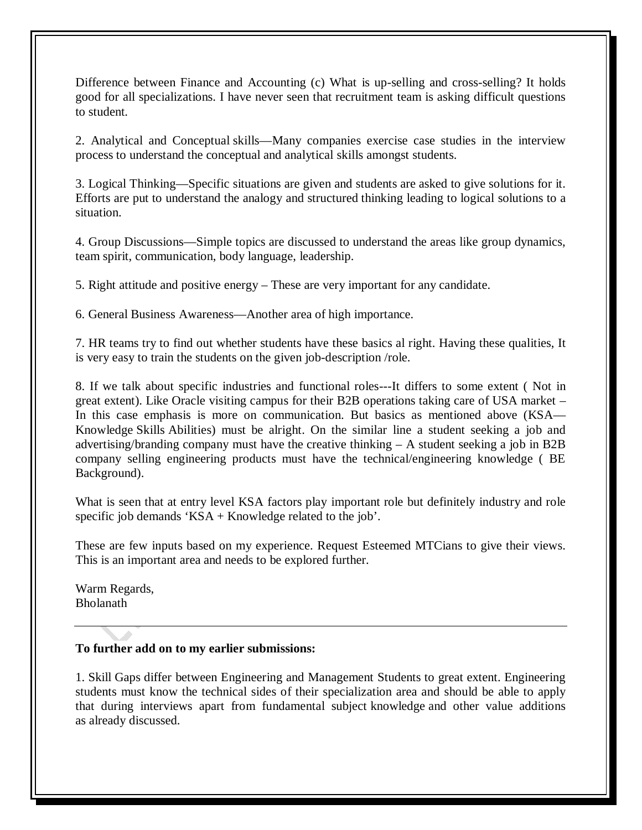Difference between Finance and Accounting (c) What is up-selling and cross-selling? It holds good for all specializations. I have never seen that recruitment team is asking difficult questions to student.

2. Analytical and Conceptual skills—Many companies exercise case studies in the interview process to understand the conceptual and analytical skills amongst students.

3. Logical Thinking—Specific situations are given and students are asked to give solutions for it. Efforts are put to understand the analogy and structured thinking leading to logical solutions to a situation.

4. Group Discussions—Simple topics are discussed to understand the areas like group dynamics, team spirit, communication, body language, leadership.

5. Right attitude and positive energy – These are very important for any candidate.

6. General Business Awareness—Another area of high importance.

7. HR teams try to find out whether students have these basics al right. Having these qualities, It is very easy to train the students on the given job-description /role.

8. If we talk about specific industries and functional roles---It differs to some extent ( Not in great extent). Like Oracle visiting campus for their B2B operations taking care of USA market – In this case emphasis is more on communication. But basics as mentioned above (KSA— Knowledge Skills Abilities) must be alright. On the similar line a student seeking a job and advertising/branding company must have the creative thinking – A student seeking a job in B2B company selling engineering products must have the technical/engineering knowledge ( BE Background).

What is seen that at entry level KSA factors play important role but definitely industry and role specific job demands 'KSA + Knowledge related to the job'.

These are few inputs based on my experience. Request Esteemed MTCians to give their views. This is an important area and needs to be explored further.

Warm Regards, Bholanath

# **To further add on to my earlier submissions:**

1. Skill Gaps differ between Engineering and Management Students to great extent. Engineering students must know the technical sides of their specialization area and should be able to apply that during interviews apart from fundamental subject knowledge and other value additions as already discussed.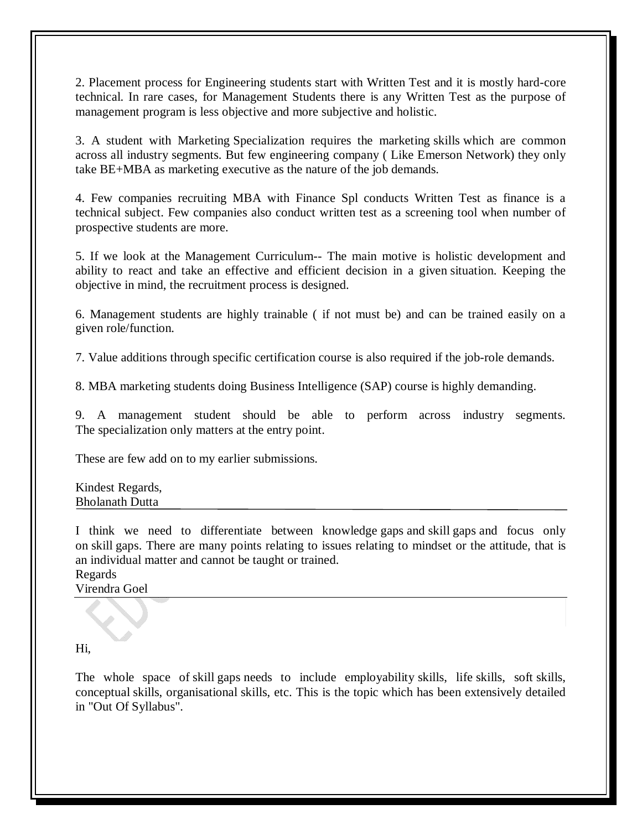2. Placement process for Engineering students start with Written Test and it is mostly hard-core technical. In rare cases, for Management Students there is any Written Test as the purpose of management program is less objective and more subjective and holistic.

3. A student with Marketing Specialization requires the marketing skills which are common across all industry segments. But few engineering company ( Like Emerson Network) they only take BE+MBA as marketing executive as the nature of the job demands.

4. Few companies recruiting MBA with Finance Spl conducts Written Test as finance is a technical subject. Few companies also conduct written test as a screening tool when number of prospective students are more.

5. If we look at the Management Curriculum-- The main motive is holistic development and ability to react and take an effective and efficient decision in a given situation. Keeping the objective in mind, the recruitment process is designed.

6. Management students are highly trainable ( if not must be) and can be trained easily on a given role/function.

7. Value additions through specific certification course is also required if the job-role demands.

8. MBA marketing students doing Business Intelligence (SAP) course is highly demanding.

9. A management student should be able to perform across industry segments. The specialization only matters at the entry point.

These are few add on to my earlier submissions.

Kindest Regards, Bholanath Dutta

I think we need to differentiate between knowledge gaps and skill gaps and focus only on skill gaps. There are many points relating to issues relating to mindset or the attitude, that is an individual matter and cannot be taught or trained.

Regards

Virendra Goel

# Hi,

The whole space of skill gaps needs to include employability skills, life skills, soft skills, conceptual skills, organisational skills, etc. This is the topic which has been extensively detailed in "Out Of Syllabus".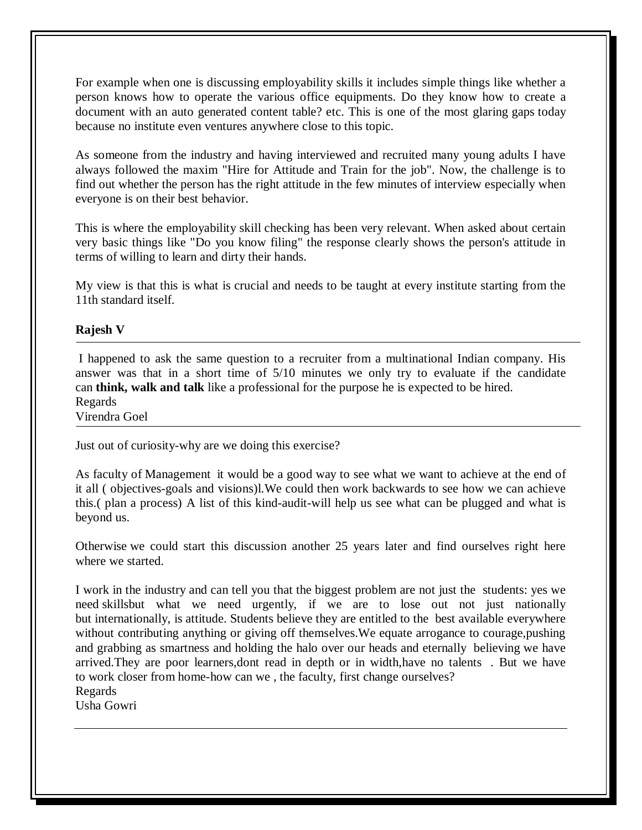For example when one is discussing employability skills it includes simple things like whether a person knows how to operate the various office equipments. Do they know how to create a document with an auto generated content table? etc. This is one of the most glaring gaps today because no institute even ventures anywhere close to this topic.

As someone from the industry and having interviewed and recruited many young adults I have always followed the maxim "Hire for Attitude and Train for the job". Now, the challenge is to find out whether the person has the right attitude in the few minutes of interview especially when everyone is on their best behavior.

This is where the employability skill checking has been very relevant. When asked about certain very basic things like "Do you know filing" the response clearly shows the person's attitude in terms of willing to learn and dirty their hands.

My view is that this is what is crucial and needs to be taught at every institute starting from the 11th standard itself.

# **Rajesh V**

I happened to ask the same question to a recruiter from a multinational Indian company. His answer was that in a short time of 5/10 minutes we only try to evaluate if the candidate can **think, walk and talk** like a professional for the purpose he is expected to be hired. Regards

Virendra Goel

Just out of curiosity-why are we doing this exercise?

As faculty of Management it would be a good way to see what we want to achieve at the end of it all ( objectives-goals and visions)l.We could then work backwards to see how we can achieve this.( plan a process) A list of this kind-audit-will help us see what can be plugged and what is beyond us.

Otherwise we could start this discussion another 25 years later and find ourselves right here where we started.

I work in the industry and can tell you that the biggest problem are not just the students: yes we need skillsbut what we need urgently, if we are to lose out not just nationally but internationally, is attitude. Students believe they are entitled to the best available everywhere without contributing anything or giving off themselves.We equate arrogance to courage,pushing and grabbing as smartness and holding the halo over our heads and eternally believing we have arrived.They are poor learners,dont read in depth or in width,have no talents . But we have to work closer from home-how can we , the faculty, first change ourselves? Regards

Usha Gowri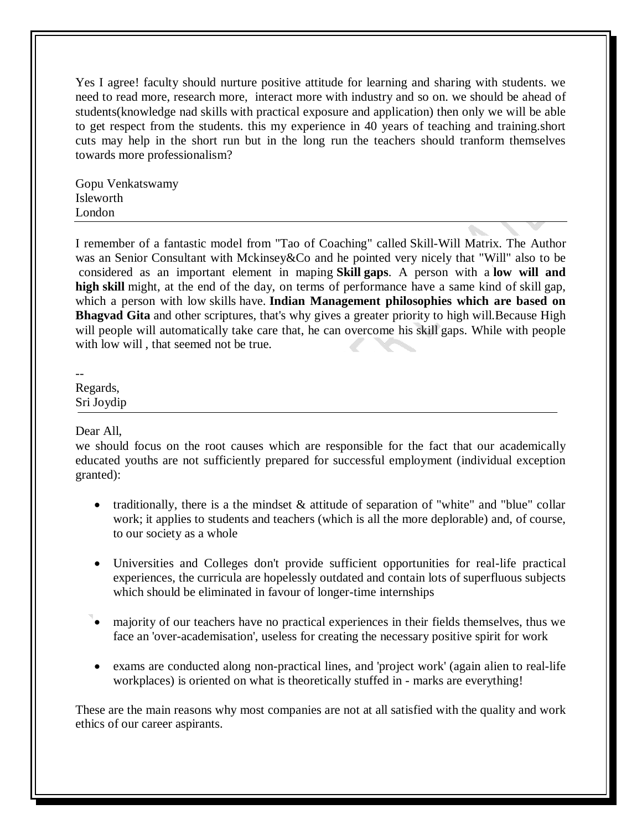Yes I agree! faculty should nurture positive attitude for learning and sharing with students. we need to read more, research more, interact more with industry and so on. we should be ahead of students(knowledge nad skills with practical exposure and application) then only we will be able to get respect from the students. this my experience in 40 years of teaching and training.short cuts may help in the short run but in the long run the teachers should tranform themselves towards more professionalism?

Gopu Venkatswamy Isleworth London

I remember of a fantastic model from "Tao of Coaching" called Skill-Will Matrix. The Author was an Senior Consultant with Mckinsey&Co and he pointed very nicely that "Will" also to be considered as an important element in maping **Skill gaps**. A person with a **low will and high skill** might, at the end of the day, on terms of performance have a same kind of skill gap, which a person with low skills have. **Indian Management philosophies which are based on Bhagvad Gita** and other scriptures, that's why gives a greater priority to high will.Because High will people will automatically take care that, he can overcome his skill gaps. While with people with low will, that seemed not be true.

--

Regards, Sri Joydip

Dear All,

we should focus on the root causes which are responsible for the fact that our academically educated youths are not sufficiently prepared for successful employment (individual exception granted):

- traditionally, there is a the mindset  $\&$  attitude of separation of "white" and "blue" collar work; it applies to students and teachers (which is all the more deplorable) and, of course, to our society as a whole
- Universities and Colleges don't provide sufficient opportunities for real-life practical experiences, the curricula are hopelessly outdated and contain lots of superfluous subjects which should be eliminated in favour of longer-time internships
- majority of our teachers have no practical experiences in their fields themselves, thus we face an 'over-academisation', useless for creating the necessary positive spirit for work
- exams are conducted along non-practical lines, and 'project work' (again alien to real-life workplaces) is oriented on what is theoretically stuffed in - marks are everything!

These are the main reasons why most companies are not at all satisfied with the quality and work ethics of our career aspirants.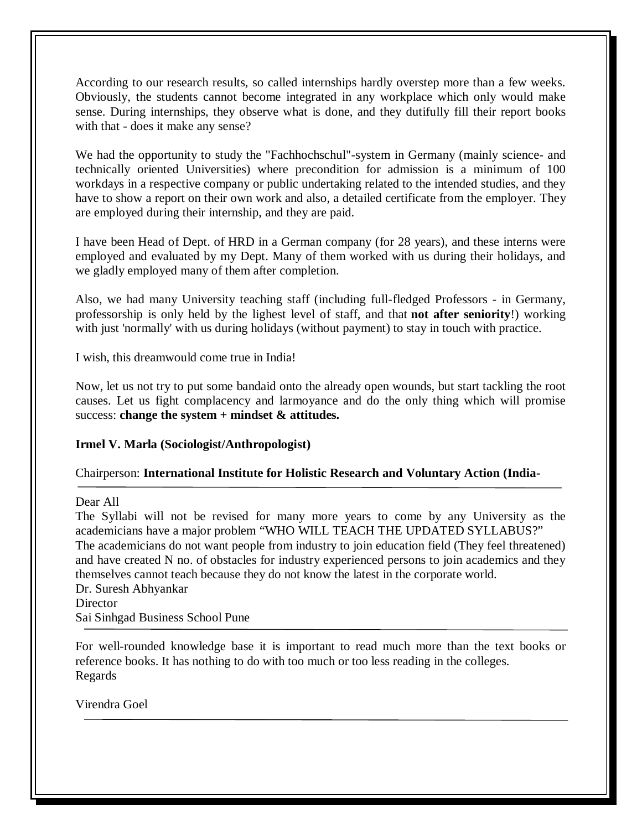According to our research results, so called internships hardly overstep more than a few weeks. Obviously, the students cannot become integrated in any workplace which only would make sense. During internships, they observe what is done, and they dutifully fill their report books with that - does it make any sense?

We had the opportunity to study the "Fachhochschul"-system in Germany (mainly science- and technically oriented Universities) where precondition for admission is a minimum of 100 workdays in a respective company or public undertaking related to the intended studies, and they have to show a report on their own work and also, a detailed certificate from the employer. They are employed during their internship, and they are paid.

I have been Head of Dept. of HRD in a German company (for 28 years), and these interns were employed and evaluated by my Dept. Many of them worked with us during their holidays, and we gladly employed many of them after completion.

Also, we had many University teaching staff (including full-fledged Professors - in Germany, professorship is only held by the lighest level of staff, and that **not after seniority**!) working with just 'normally' with us during holidays (without payment) to stay in touch with practice.

I wish, this dreamwould come true in India!

Now, let us not try to put some bandaid onto the already open wounds, but start tackling the root causes. Let us fight complacency and larmoyance and do the only thing which will promise success: **change the system + mindset & attitudes.**

# **Irmel V. Marla (Sociologist/Anthropologist)**

# Chairperson: **International Institute for Holistic Research and Voluntary Action (India-**

Dear All

The Syllabi will not be revised for many more years to come by any University as the academicians have a major problem "WHO WILL TEACH THE UPDATED SYLLABUS?" The academicians do not want people from industry to join education field (They feel threatened) and have created N no. of obstacles for industry experienced persons to join academics and they themselves cannot teach because they do not know the latest in the corporate world. Dr. Suresh Abhyankar **Director** 

Sai Sinhgad Business School Pune

For well-rounded knowledge base it is important to read much more than the text books or reference books. It has nothing to do with too much or too less reading in the colleges. Regards

Virendra Goel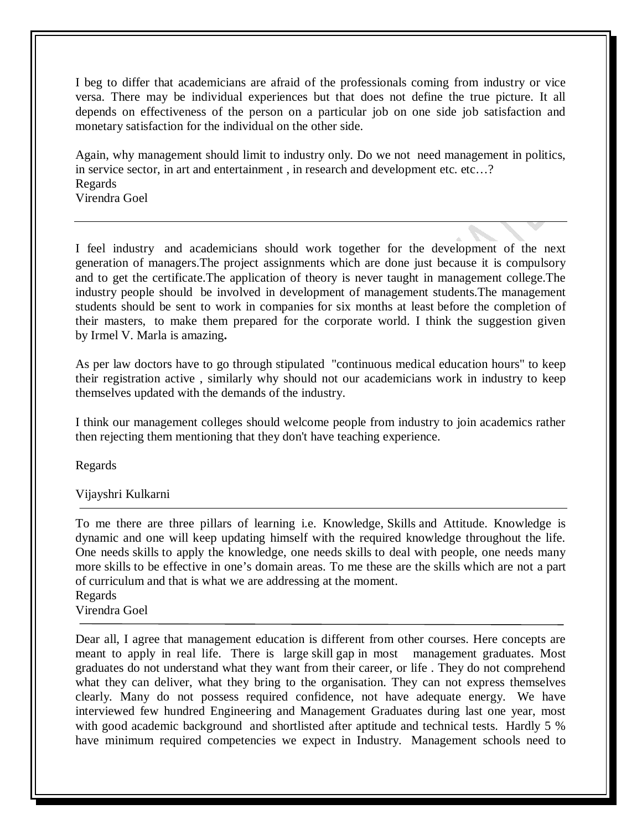I beg to differ that academicians are afraid of the professionals coming from industry or vice versa. There may be individual experiences but that does not define the true picture. It all depends on effectiveness of the person on a particular job on one side job satisfaction and monetary satisfaction for the individual on the other side.

Again, why management should limit to industry only. Do we not need management in politics, in service sector, in art and entertainment , in research and development etc. etc…? Regards Virendra Goel

I feel industry and academicians should work together for the development of the next generation of managers.The project assignments which are done just because it is compulsory and to get the certificate.The application of theory is never taught in management college.The industry people should be involved in development of management students.The management students should be sent to work in companies for six months at least before the completion of their masters, to make them prepared for the corporate world. I think the suggestion given by Irmel V. Marla is amazing**.**

As per law doctors have to go through stipulated "continuous medical education hours" to keep their registration active , similarly why should not our academicians work in industry to keep themselves updated with the demands of the industry.

I think our management colleges should welcome people from industry to join academics rather then rejecting them mentioning that they don't have teaching experience.

Regards

Vijayshri Kulkarni

To me there are three pillars of learning i.e. Knowledge, Skills and Attitude. Knowledge is dynamic and one will keep updating himself with the required knowledge throughout the life. One needs skills to apply the knowledge, one needs skills to deal with people, one needs many more skills to be effective in one's domain areas. To me these are the skills which are not a part of curriculum and that is what we are addressing at the moment.

Regards

Virendra Goel

Dear all, I agree that management education is different from other courses. Here concepts are meant to apply in real life. There is large skill gap in most management graduates. Most graduates do not understand what they want from their career, or life . They do not comprehend what they can deliver, what they bring to the organisation. They can not express themselves clearly. Many do not possess required confidence, not have adequate energy. We have interviewed few hundred Engineering and Management Graduates during last one year, most with good academic background and shortlisted after aptitude and technical tests. Hardly 5 % have minimum required competencies we expect in Industry. Management schools need to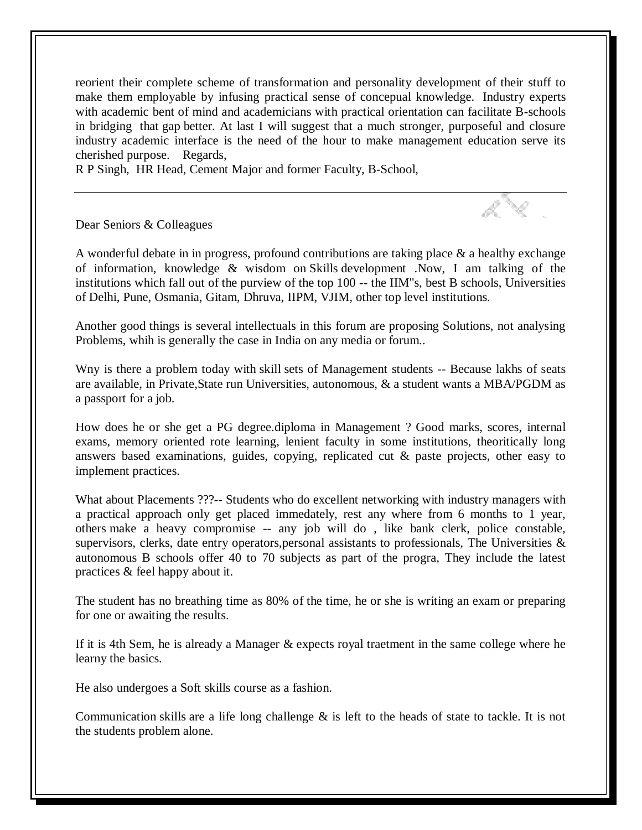reorient their complete scheme of transformation and personality development of their stuff to make them employable by infusing practical sense of concepual knowledge. Industry experts with academic bent of mind and academicians with practical orientation can facilitate B-schools in bridging that gap better. At last I will suggest that a much stronger, purposeful and closure industry academic interface is the need of the hour to make management education serve its cherished purpose. Regards,

R P Singh, HR Head, Cement Major and former Faculty, B-School,

Dear Seniors & Colleagues

A wonderful debate in in progress, profound contributions are taking place & a healthy exchange of information, knowledge & wisdom on Skills development .Now, I am talking of the institutions which fall out of the purview of the top 100 -- the IIM"s, best B schools, Universities of Delhi, Pune, Osmania, Gitam, Dhruva, IIPM, VJIM, other top level institutions.

Another good things is several intellectuals in this forum are proposing Solutions, not analysing Problems, whih is generally the case in India on any media or forum..

Wny is there a problem today with skill sets of Management students -- Because lakhs of seats are available, in Private,State run Universities, autonomous, & a student wants a MBA/PGDM as a passport for a job.

How does he or she get a PG degree.diploma in Management ? Good marks, scores, internal exams, memory oriented rote learning, lenient faculty in some institutions, theoritically long answers based examinations, guides, copying, replicated cut & paste projects, other easy to implement practices.

What about Placements ???-- Students who do excellent networking with industry managers with a practical approach only get placed immedately, rest any where from 6 months to 1 year, others make a heavy compromise -- any job will do , like bank clerk, police constable, supervisors, clerks, date entry operators,personal assistants to professionals, The Universities & autonomous B schools offer 40 to 70 subjects as part of the progra, They include the latest practices & feel happy about it.

The student has no breathing time as 80% of the time, he or she is writing an exam or preparing for one or awaiting the results.

If it is 4th Sem, he is already a Manager & expects royal traetment in the same college where he learny the basics.

He also undergoes a Soft skills course as a fashion.

Communication skills are a life long challenge  $\&$  is left to the heads of state to tackle. It is not the students problem alone.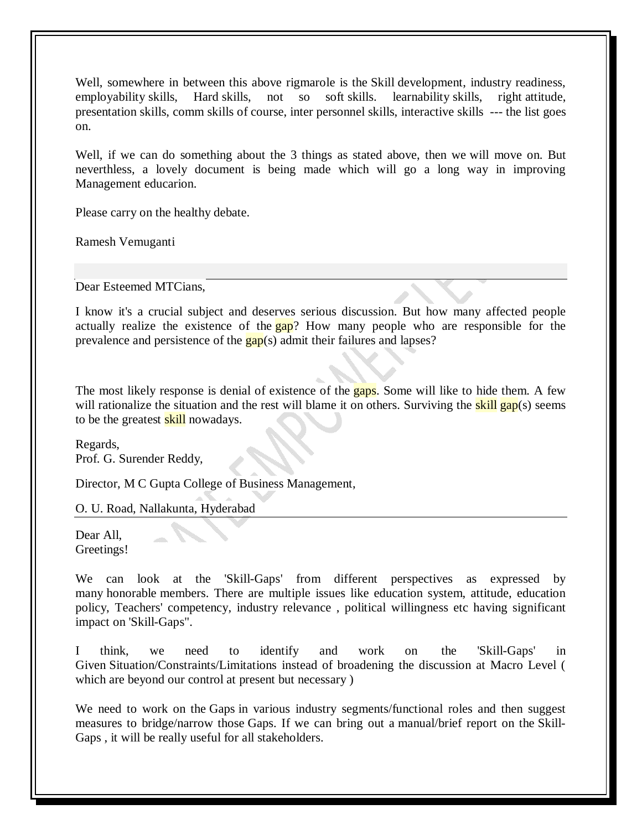Well, somewhere in between this above rigmarole is the Skill development, industry readiness, employability skills, Hard skills, not so soft skills. learnability skills, right attitude, presentation skills, comm skills of course, inter personnel skills, interactive skills --- the list goes on.

Well, if we can do something about the 3 things as stated above, then we will move on. But neverthless, a lovely document is being made which will go a long way in improving Management educarion.

Please carry on the healthy debate.

Ramesh Vemuganti

Dear Esteemed MTCians,

I know it's a crucial subject and deserves serious discussion. But how many affected people actually realize the existence of the **gap**? How many people who are responsible for the prevalence and persistence of the  $\frac{gap}{(s)}$  admit their failures and lapses?

The most likely response is denial of existence of the gaps. Some will like to hide them. A few will rationalize the situation and the rest will blame it on others. Surviving the **skill gap**(s) seems to be the greatest **skill** nowadays.

Regards, Prof. G. Surender Reddy,

Director, M C Gupta College of Business Management,

O. U. Road, Nallakunta, Hyderabad

Dear All. Greetings!

We can look at the 'Skill-Gaps' from different perspectives as expressed by many honorable members. There are multiple issues like education system, attitude, education policy, Teachers' competency, industry relevance , political willingness etc having significant impact on 'Skill-Gaps".

I think, we need to identify and work on the 'Skill-Gaps' in Given Situation/Constraints/Limitations instead of broadening the discussion at Macro Level ( which are beyond our control at present but necessary )

We need to work on the Gaps in various industry segments/functional roles and then suggest measures to bridge/narrow those Gaps. If we can bring out a manual/brief report on the Skill-Gaps , it will be really useful for all stakeholders.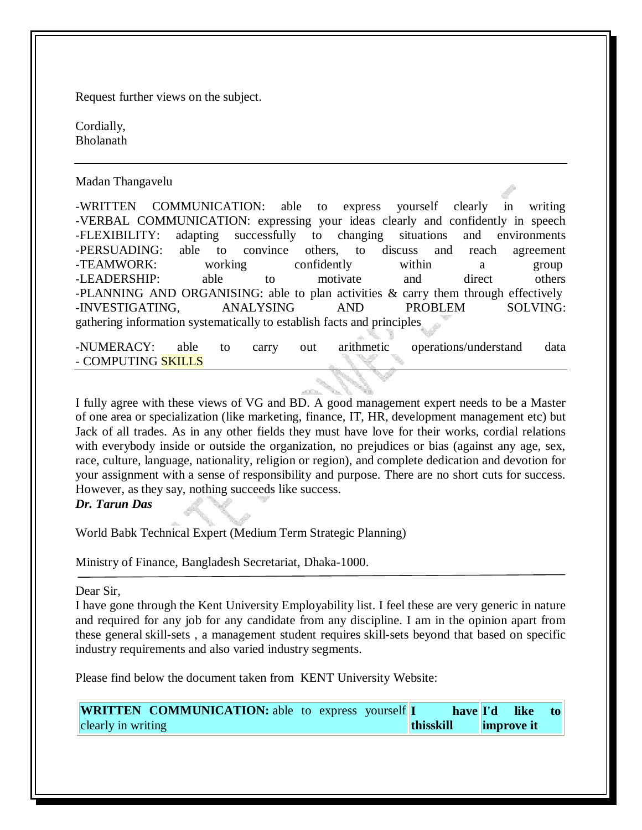Request further views on the subject.

Cordially, Bholanath

Madan Thangavelu

-WRITTEN COMMUNICATION: able to express yourself clearly in writing -VERBAL COMMUNICATION: expressing your ideas clearly and confidently in speech -FLEXIBILITY: adapting successfully to changing situations and environments -PERSUADING: able to convince others, to discuss and reach agreement -TEAMWORK: working confidently within a group -LEADERSHIP: able to motivate and direct others -PLANNING AND ORGANISING: able to plan activities & carry them through effectively -INVESTIGATING, ANALYSING AND PROBLEM SOLVING: gathering information systematically to establish facts and principles

-NUMERACY: able to carry out arithmetic operations/understand data - COMPUTING SKILLS

I fully agree with these views of VG and BD. A good management expert needs to be a Master of one area or specialization (like marketing, finance, IT, HR, development management etc) but Jack of all trades. As in any other fields they must have love for their works, cordial relations with everybody inside or outside the organization, no prejudices or bias (against any age, sex, race, culture, language, nationality, religion or region), and complete dedication and devotion for your assignment with a sense of responsibility and purpose. There are no short cuts for success. However, as they say, nothing succeeds like success.

*Dr. Tarun Das*

World Babk Technical Expert (Medium Term Strategic Planning)

Ministry of Finance, Bangladesh Secretariat, Dhaka-1000.

Dear Sir,

I have gone through the Kent University Employability list. I feel these are very generic in nature and required for any job for any candidate from any discipline. I am in the opinion apart from these general skill-sets , a management student requires skill-sets beyond that based on specific industry requirements and also varied industry segments.

Please find below the document taken from KENT University Website:

**WRITTEN COMMUNICATION:** able to express yourself **I** clearly in writing have **I'd thisskill like** to **improve it**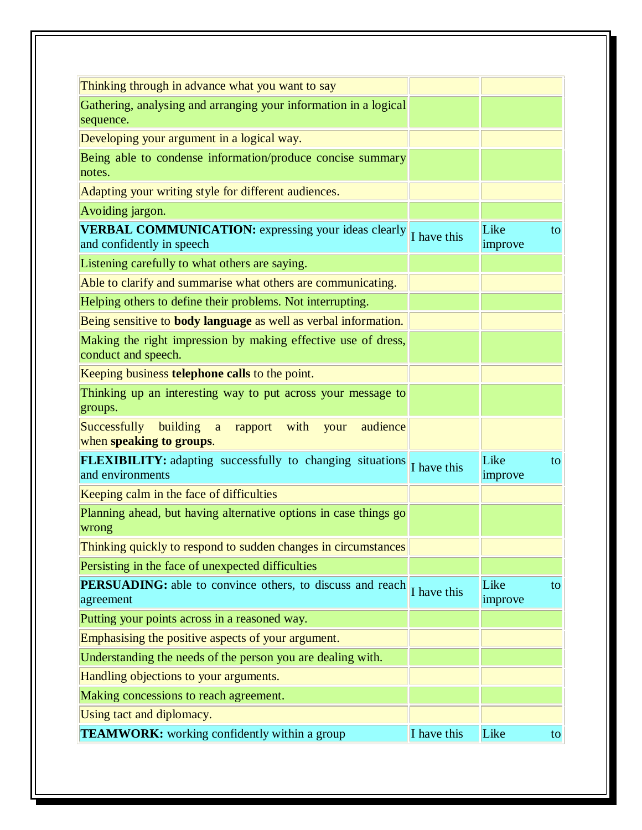| Thinking through in advance what you want to say                                        |             |                 |    |
|-----------------------------------------------------------------------------------------|-------------|-----------------|----|
| Gathering, analysing and arranging your information in a logical<br>sequence.           |             |                 |    |
| Developing your argument in a logical way.                                              |             |                 |    |
| Being able to condense information/produce concise summary<br>notes.                    |             |                 |    |
| Adapting your writing style for different audiences.                                    |             |                 |    |
| Avoiding jargon.                                                                        |             |                 |    |
| <b>VERBAL COMMUNICATION:</b> expressing your ideas clearly<br>and confidently in speech | I have this | Like<br>improve | to |
| Listening carefully to what others are saying.                                          |             |                 |    |
| Able to clarify and summarise what others are communicating.                            |             |                 |    |
| Helping others to define their problems. Not interrupting.                              |             |                 |    |
| Being sensitive to body language as well as verbal information.                         |             |                 |    |
| Making the right impression by making effective use of dress,<br>conduct and speech.    |             |                 |    |
| Keeping business telephone calls to the point.                                          |             |                 |    |
| Thinking up an interesting way to put across your message to<br>groups.                 |             |                 |    |
| Successfully<br>building a rapport with<br>audience<br>your<br>when speaking to groups. |             |                 |    |
| <b>FLEXIBILITY:</b> adapting successfully to changing situations<br>and environments    | I have this | Like<br>improve | to |
| Keeping calm in the face of difficulties                                                |             |                 |    |
| Planning ahead, but having alternative options in case things go<br>wrong               |             |                 |    |
| Thinking quickly to respond to sudden changes in circumstances                          |             |                 |    |
| Persisting in the face of unexpected difficulties                                       |             |                 |    |
| PERSUADING: able to convince others, to discuss and reach<br>agreement                  | I have this | Like<br>improve | to |
| Putting your points across in a reasoned way.                                           |             |                 |    |
| Emphasising the positive aspects of your argument.                                      |             |                 |    |
| Understanding the needs of the person you are dealing with.                             |             |                 |    |
| Handling objections to your arguments.                                                  |             |                 |    |
| Making concessions to reach agreement.                                                  |             |                 |    |
| Using tact and diplomacy.                                                               |             |                 |    |
| <b>TEAMWORK:</b> working confidently within a group                                     | I have this | Like            | to |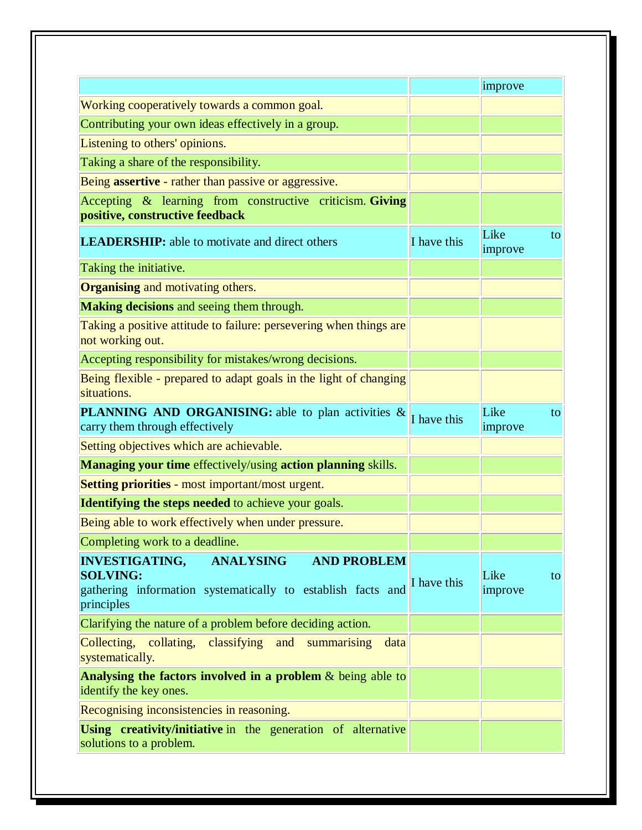|                                                                                                                                                                 |             | improve               |
|-----------------------------------------------------------------------------------------------------------------------------------------------------------------|-------------|-----------------------|
| Working cooperatively towards a common goal.                                                                                                                    |             |                       |
| Contributing your own ideas effectively in a group.                                                                                                             |             |                       |
| Listening to others' opinions.                                                                                                                                  |             |                       |
| Taking a share of the responsibility.                                                                                                                           |             |                       |
| Being <b>assertive</b> - rather than passive or aggressive.                                                                                                     |             |                       |
| Accepting & learning from constructive criticism. Giving<br>positive, constructive feedback                                                                     |             |                       |
| <b>LEADERSHIP:</b> able to motivate and direct others                                                                                                           | I have this | Like<br>to<br>improve |
| Taking the initiative.                                                                                                                                          |             |                       |
| <b>Organising and motivating others.</b>                                                                                                                        |             |                       |
| <b>Making decisions</b> and seeing them through.                                                                                                                |             |                       |
| Taking a positive attitude to failure: persevering when things are<br>not working out.                                                                          |             |                       |
| Accepting responsibility for mistakes/wrong decisions.                                                                                                          |             |                       |
| Being flexible - prepared to adapt goals in the light of changing<br>situations.                                                                                |             |                       |
| <b>PLANNING AND ORGANISING:</b> able to plan activities &<br>carry them through effectively                                                                     | I have this | Like<br>to<br>improve |
| Setting objectives which are achievable.                                                                                                                        |             |                       |
| <b>Managing your time</b> effectively/using <b>action planning</b> skills.                                                                                      |             |                       |
| Setting priorities - most important/most urgent.                                                                                                                |             |                       |
| <b>Identifying the steps needed to achieve your goals.</b>                                                                                                      |             |                       |
| Being able to work effectively when under pressure.                                                                                                             |             |                       |
| Completing work to a deadline.                                                                                                                                  |             |                       |
| <b>INVESTIGATING,</b><br><b>ANALYSING</b><br><b>AND PROBLEM</b><br><b>SOLVING:</b><br>gathering information systematically to establish facts and<br>principles | I have this | Like<br>to<br>improve |
| Clarifying the nature of a problem before deciding action.                                                                                                      |             |                       |
| Collecting, collating,<br>classifying<br>and<br>summarising<br>data<br>systematically.                                                                          |             |                       |
| Analysing the factors involved in a problem $&$ being able to<br>identify the key ones.                                                                         |             |                       |
| Recognising inconsistencies in reasoning.                                                                                                                       |             |                       |
| Using creativity/initiative in the generation of alternative<br>solutions to a problem.                                                                         |             |                       |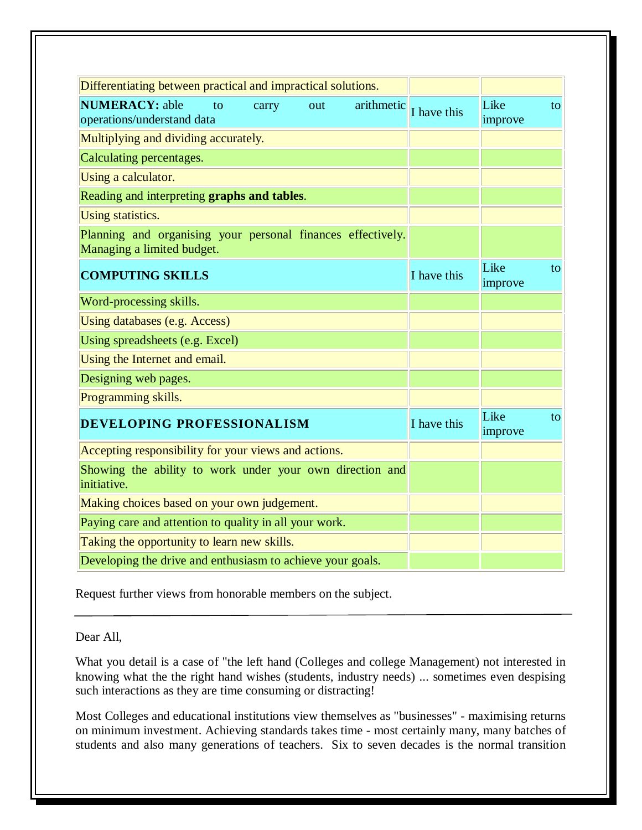| Differentiating between practical and impractical solutions.                              |             |                 |    |
|-------------------------------------------------------------------------------------------|-------------|-----------------|----|
| <b>NUMERACY: able</b><br>to<br>arithmetic<br>carry<br>out<br>operations/understand data   | I have this | Like<br>improve | to |
| Multiplying and dividing accurately.                                                      |             |                 |    |
| Calculating percentages.                                                                  |             |                 |    |
| Using a calculator.                                                                       |             |                 |    |
| Reading and interpreting graphs and tables.                                               |             |                 |    |
| <b>Using statistics.</b>                                                                  |             |                 |    |
| Planning and organising your personal finances effectively.<br>Managing a limited budget. |             |                 |    |
| <b>COMPUTING SKILLS</b>                                                                   | I have this | Like<br>improve | to |
| Word-processing skills.                                                                   |             |                 |    |
| Using databases (e.g. Access)                                                             |             |                 |    |
| Using spreadsheets (e.g. Excel)                                                           |             |                 |    |
| Using the Internet and email.                                                             |             |                 |    |
| Designing web pages.                                                                      |             |                 |    |
| Programming skills.                                                                       |             |                 |    |
| DEVELOPING PROFESSIONALISM                                                                | I have this | Like<br>improve | to |
| Accepting responsibility for your views and actions.                                      |             |                 |    |
| Showing the ability to work under your own direction and<br>initiative.                   |             |                 |    |
| Making choices based on your own judgement.                                               |             |                 |    |
| Paying care and attention to quality in all your work.                                    |             |                 |    |
| Taking the opportunity to learn new skills.                                               |             |                 |    |
| Developing the drive and enthusiasm to achieve your goals.                                |             |                 |    |

Request further views from honorable members on the subject.

#### Dear All,

What you detail is a case of "the left hand (Colleges and college Management) not interested in knowing what the the right hand wishes (students, industry needs) ... sometimes even despising such interactions as they are time consuming or distracting!

Most Colleges and educational institutions view themselves as "businesses" - maximising returns on minimum investment. Achieving standards takes time - most certainly many, many batches of students and also many generations of teachers. Six to seven decades is the normal transition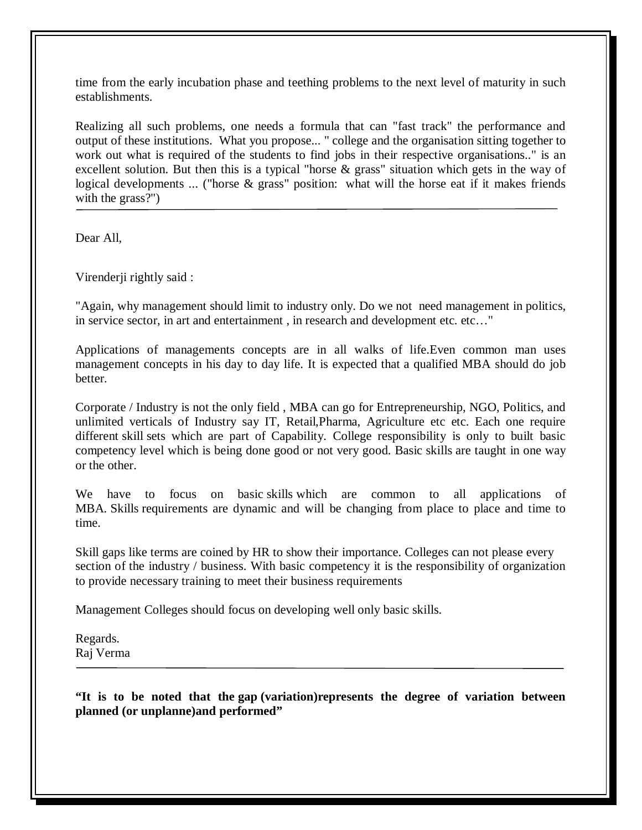time from the early incubation phase and teething problems to the next level of maturity in such establishments.

Realizing all such problems, one needs a formula that can "fast track" the performance and output of these institutions. What you propose... " college and the organisation sitting together to work out what is required of the students to find jobs in their respective organisations.." is an excellent solution. But then this is a typical "horse & grass" situation which gets in the way of logical developments ... ("horse & grass" position: what will the horse eat if it makes friends with the grass?")

Dear All,

Virenderji rightly said :

"Again, why management should limit to industry only. Do we not need management in politics, in service sector, in art and entertainment , in research and development etc. etc…"

Applications of managements concepts are in all walks of life.Even common man uses management concepts in his day to day life. It is expected that a qualified MBA should do job better.

Corporate / Industry is not the only field , MBA can go for Entrepreneurship, NGO, Politics, and unlimited verticals of Industry say IT, Retail,Pharma, Agriculture etc etc. Each one require different skill sets which are part of Capability. College responsibility is only to built basic competency level which is being done good or not very good. Basic skills are taught in one way or the other.

We have to focus on basic skills which are common to all applications of MBA. Skills requirements are dynamic and will be changing from place to place and time to time.

Skill gaps like terms are coined by HR to show their importance. Colleges can not please every section of the industry / business. With basic competency it is the responsibility of organization to provide necessary training to meet their business requirements

Management Colleges should focus on developing well only basic skills.

Regards. Raj Verma

**"It is to be noted that the gap (variation)represents the degree of variation between planned (or unplanne)and performed"**